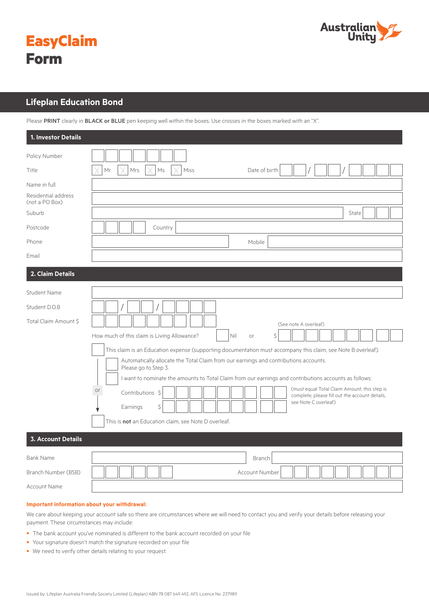



# **Lifeplan Education Bond Lifeplan Education Bond**

Please PRINT clearly in BLACK or BLUE pen keeping well within the boxes. Use crosses in the boxes marked with an "X".

| 1. Investor Details                                                                                                      |                                                                                                               |  |  |  |  |  |  |  |
|--------------------------------------------------------------------------------------------------------------------------|---------------------------------------------------------------------------------------------------------------|--|--|--|--|--|--|--|
| Policy Number                                                                                                            |                                                                                                               |  |  |  |  |  |  |  |
| Title                                                                                                                    | Mr<br>Mrs<br>Ms<br>Miss<br>Date of birth                                                                      |  |  |  |  |  |  |  |
| Name in full                                                                                                             |                                                                                                               |  |  |  |  |  |  |  |
| Residential address<br>(not a PO Box)                                                                                    |                                                                                                               |  |  |  |  |  |  |  |
| Suburb                                                                                                                   | State                                                                                                         |  |  |  |  |  |  |  |
| Postcode                                                                                                                 | Country                                                                                                       |  |  |  |  |  |  |  |
| Phone                                                                                                                    | Mobile                                                                                                        |  |  |  |  |  |  |  |
| Email                                                                                                                    |                                                                                                               |  |  |  |  |  |  |  |
| 2. Claim Details                                                                                                         |                                                                                                               |  |  |  |  |  |  |  |
| Student Name                                                                                                             |                                                                                                               |  |  |  |  |  |  |  |
| Student D.O.B                                                                                                            |                                                                                                               |  |  |  |  |  |  |  |
| Total Claim Amount \$                                                                                                    | (See note A overleaf)                                                                                         |  |  |  |  |  |  |  |
|                                                                                                                          | How much of this claim is Living Allowance?<br>Nil<br>\$<br>or                                                |  |  |  |  |  |  |  |
|                                                                                                                          | This claim is an Education expense (supporting documentation must accompany this claim, see Note B overleaf). |  |  |  |  |  |  |  |
| Automatically allocate the Total Claim from our earnings and contributions accounts.<br>Please go to Step 3.             |                                                                                                               |  |  |  |  |  |  |  |
|                                                                                                                          | I want to nominate the amounts to Total Claim from our earnings and contributions accounts as follows:        |  |  |  |  |  |  |  |
| (must equal Total Claim Amount, this step is<br>or<br>Contributions \$<br>complete, please fill out the account details, |                                                                                                               |  |  |  |  |  |  |  |
|                                                                                                                          | see Note C overleaf)<br>Ś<br>Earnings                                                                         |  |  |  |  |  |  |  |
|                                                                                                                          | This is not an Education claim, see Note D overleaf.                                                          |  |  |  |  |  |  |  |
| <b>3. Account Details</b>                                                                                                |                                                                                                               |  |  |  |  |  |  |  |
| <b>Bank Name</b>                                                                                                         | Branch                                                                                                        |  |  |  |  |  |  |  |
| Branch Number (BSB)                                                                                                      | Account Number                                                                                                |  |  |  |  |  |  |  |
| <b>Account Name</b>                                                                                                      |                                                                                                               |  |  |  |  |  |  |  |

### **Important information about your withdrawal:**

We care about keeping your account safe so there are circumstances where we will need to contact you and verify your details before releasing your payment. These circumstances may include:

- The bank account you've nominated is different to the bank account recorded on your file
- Your signature doesn't match the signature recorded on your file
- We need to verify other details relating to your request.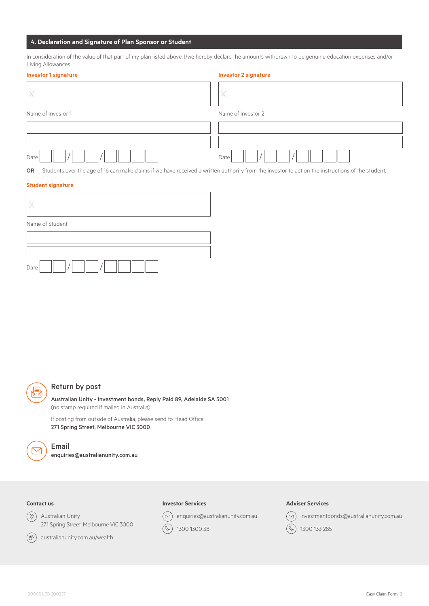# **4. Declaration and Signature of Plan Sponsor or Student**

In consideration of the value of that part of my plan listed above, I/we hereby declare the amounts withdrawn to be genuine education expenses and/or Living Allowances.

| <b>Investor 1 signature</b>                                                                                     | <b>Investor 2 signature</b> |  |  |  |  |  |
|-----------------------------------------------------------------------------------------------------------------|-----------------------------|--|--|--|--|--|
|                                                                                                                 |                             |  |  |  |  |  |
| Name of Investor 1                                                                                              | Name of Investor 2          |  |  |  |  |  |
|                                                                                                                 |                             |  |  |  |  |  |
|                                                                                                                 |                             |  |  |  |  |  |
| Date                                                                                                            | Date                        |  |  |  |  |  |
| 그는 그 그 사람들은 그 사람들은 그 사람들은 그 사람들을 하고 있다. 그 사람들은 그 사람들은 그 사람들을 지금 모르는 것을 하고 있다. 그 사람들은 사람들을 지금 모르는 것을 지금 모르는 것을 지 |                             |  |  |  |  |  |

OR Students over the age of 16 can make claims if we have received a written authority from the investor to act on the instructions of the student.

# **Student signature**

| Name of Student |  |  |  |  |  |  |  |  |  |  |
|-----------------|--|--|--|--|--|--|--|--|--|--|
|                 |  |  |  |  |  |  |  |  |  |  |
|                 |  |  |  |  |  |  |  |  |  |  |
| Date            |  |  |  |  |  |  |  |  |  |  |

# Return by post

Australian Unity - Investment bonds, Reply Paid 89, Adelaide SA 5001 (no stamp required if mailed in Australia)

If posting from outside of Australia, please send to Head Office: 271 Spring Street, Melbourne VIC 3000

Email

enquiries@australianunity.com.au

# **Contact us**

Australian Unity 271 Spring Street, Melbourne VIC 3000



australianunity.com.au/wealth

### **Investor Services**

 $\circledcirc$ enquiries@australianunity.com.au

 $\circledS$ 1300 1300 38

### **Adviser Services**